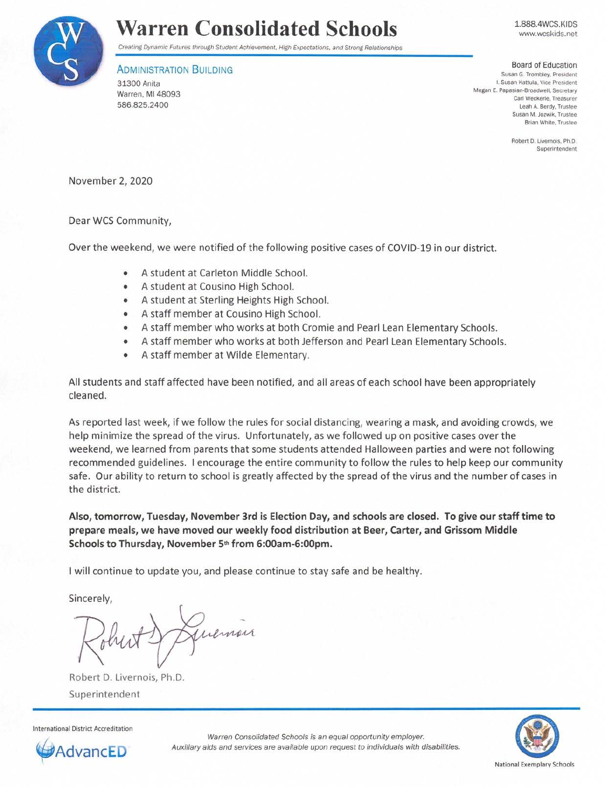

## **Warren Consolidated Schools**

Creating Dynamic Futures through Student Achievement. High Expectations. and Strong Relationships

## **ADMINISTRATION BUILDING**

31300 Anita Warren, Ml 48093 586.825.2400

1.888.4WCS.KIDS www.wcskids.net

Board of Education **Susan G. Trombley, President**  I. Susan Kattula. Vice President Megan E. Papasian-Broadwell, Secretary **Carl Weckerle, Treasurer**  Leah A. Berdy. Trustee **Susan M. Jozwik, Trustee**  Brian White. Trustee

> **Robert D. Livernois. Ph.D. Superintendent**

November 2, 2020

## Dear WCS Community,

Over the weekend, we were notified of the following positive cases of COVID-19 in our district.

- A student at Carleton Middle School.
- A student at Cousino High School.
- A student at Sterling Heights High School.
- A staff member at Cousino High School.
- A staff member who works at both Cromie and Pearl Lean Elementary Schools.
- A staff member who works at both Jefferson and Pearl Lean Elementary Schools.
- A staff member at Wilde Elementary.

All students and staff affected have been notified, and all areas of each school have been appropriately cleaned.

As reported last week, if we follow the rules for social distancing, wearing a mask, and avoiding crowds, we help minimize the spread of the virus. Unfortunately, as we followed up on positive cases over the weekend, we learned from parents that some students attended Halloween parties and were not following recommended guidelines. I encourage the entire community to follow the rules to help keep our community safe. Our ability to return to school is greatly affected by the spread of the virus and the number of cases in the district.

**Also, tomorrow, Tuesday, November 3rd is Election Day, and schools are closed. To give our staff time to prepare meals, we have moved our weekly food distribution at Beer, Carter, and Grissom Middle Schools to Thursday, November 5th from 6:00am-6:00pm.** 

I will continue to update you, and please continue to stay safe and be healthy.

Sincerely,

Juenian

Robert D. Livernois, Ph.D. Superintendent





Warren Consolidated Schools is an equal opportunity employer. dvancED **Auxiliary aids and services are available upon request to individuals with disabilities.**